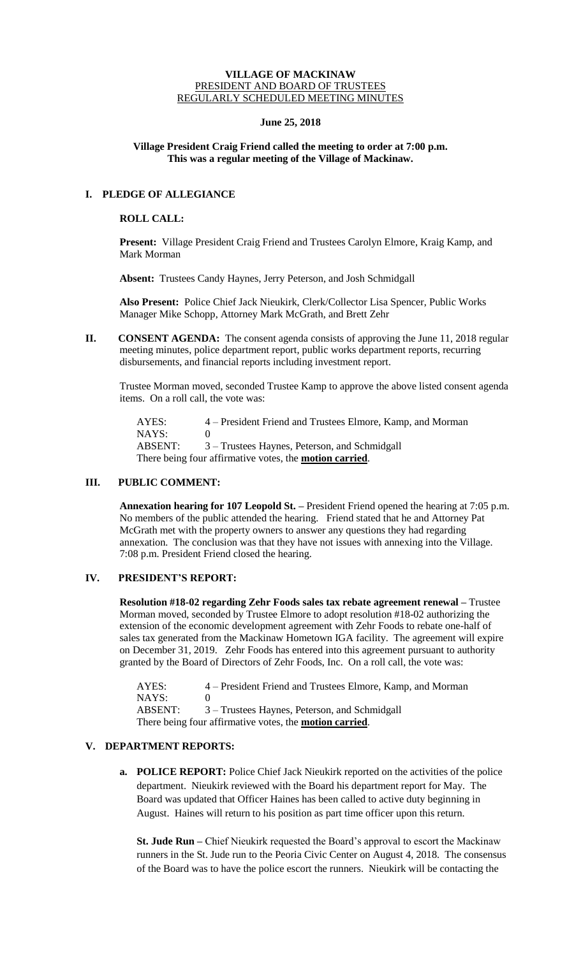#### **VILLAGE OF MACKINAW** PRESIDENT AND BOARD OF TRUSTEES REGULARLY SCHEDULED MEETING MINUTES

#### **June 25, 2018**

## **Village President Craig Friend called the meeting to order at 7:00 p.m. This was a regular meeting of the Village of Mackinaw.**

# **I. PLEDGE OF ALLEGIANCE**

#### **ROLL CALL:**

**Present:** Village President Craig Friend and Trustees Carolyn Elmore, Kraig Kamp, and Mark Morman

**Absent:** Trustees Candy Haynes, Jerry Peterson, and Josh Schmidgall

**Also Present:** Police Chief Jack Nieukirk, Clerk/Collector Lisa Spencer, Public Works Manager Mike Schopp, Attorney Mark McGrath, and Brett Zehr

**II.** CONSENT AGENDA: The consent agenda consists of approving the June 11, 2018 regular meeting minutes, police department report, public works department reports, recurring disbursements, and financial reports including investment report.

Trustee Morman moved, seconded Trustee Kamp to approve the above listed consent agenda items. On a roll call, the vote was:

| AYES: | 4 – President Friend and Trustees Elmore, Kamp, and Morman      |
|-------|-----------------------------------------------------------------|
| NAYS: |                                                                 |
|       | ABSENT: 3 – Trustees Haynes, Peterson, and Schmidgall           |
|       | There being four affirmative votes, the <b>motion carried</b> . |

#### **III. PUBLIC COMMENT:**

**Annexation hearing for 107 Leopold St. –** President Friend opened the hearing at 7:05 p.m. No members of the public attended the hearing. Friend stated that he and Attorney Pat McGrath met with the property owners to answer any questions they had regarding annexation. The conclusion was that they have not issues with annexing into the Village. 7:08 p.m. President Friend closed the hearing.

## **IV. PRESIDENT'S REPORT:**

**Resolution #18-02 regarding Zehr Foods sales tax rebate agreement renewal –** Trustee Morman moved, seconded by Trustee Elmore to adopt resolution #18-02 authorizing the extension of the economic development agreement with Zehr Foods to rebate one-half of sales tax generated from the Mackinaw Hometown IGA facility. The agreement will expire on December 31, 2019. Zehr Foods has entered into this agreement pursuant to authority granted by the Board of Directors of Zehr Foods, Inc. On a roll call, the vote was:

| AYES: | 4 – President Friend and Trustees Elmore, Kamp, and Morman      |
|-------|-----------------------------------------------------------------|
| NAYS: |                                                                 |
|       | ABSENT: 3 – Trustees Haynes, Peterson, and Schmidgall           |
|       | There being four affirmative votes, the <b>motion carried</b> . |

## **V. DEPARTMENT REPORTS:**

**a. POLICE REPORT:** Police Chief Jack Nieukirk reported on the activities of the police department. Nieukirk reviewed with the Board his department report for May. The Board was updated that Officer Haines has been called to active duty beginning in August. Haines will return to his position as part time officer upon this return.

**St. Jude Run –** Chief Nieukirk requested the Board's approval to escort the Mackinaw runners in the St. Jude run to the Peoria Civic Center on August 4, 2018. The consensus of the Board was to have the police escort the runners. Nieukirk will be contacting the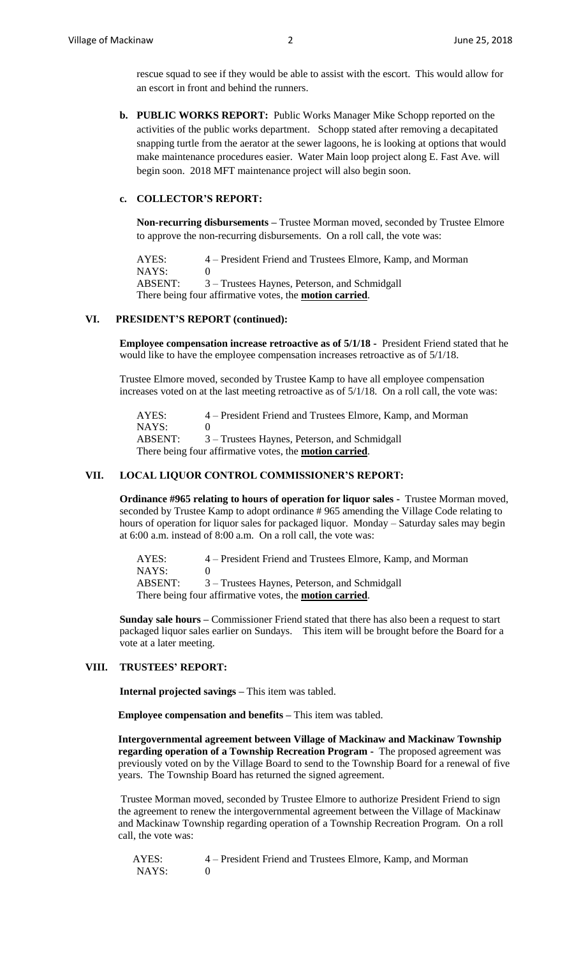rescue squad to see if they would be able to assist with the escort. This would allow for an escort in front and behind the runners.

**b. PUBLIC WORKS REPORT:** Public Works Manager Mike Schopp reported on the activities of the public works department. Schopp stated after removing a decapitated snapping turtle from the aerator at the sewer lagoons, he is looking at options that would make maintenance procedures easier. Water Main loop project along E. Fast Ave. will begin soon. 2018 MFT maintenance project will also begin soon.

#### **c. COLLECTOR'S REPORT:**

**Non-recurring disbursements –** Trustee Morman moved, seconded by Trustee Elmore to approve the non-recurring disbursements. On a roll call, the vote was:

AYES: 4 – President Friend and Trustees Elmore, Kamp, and Morman NAYS: 0 ABSENT: 3 – Trustees Haynes, Peterson, and Schmidgall There being four affirmative votes, the **motion carried**.

#### **VI. PRESIDENT'S REPORT (continued):**

**Employee compensation increase retroactive as of 5/1/18 -** President Friend stated that he would like to have the employee compensation increases retroactive as of 5/1/18.

Trustee Elmore moved, seconded by Trustee Kamp to have all employee compensation increases voted on at the last meeting retroactive as of 5/1/18. On a roll call, the vote was:

AYES: 4 – President Friend and Trustees Elmore, Kamp, and Morman NAYS: 0 ABSENT: 3 – Trustees Haynes, Peterson, and Schmidgall There being four affirmative votes, the **motion carried**.

# **VII. LOCAL LIQUOR CONTROL COMMISSIONER'S REPORT:**

**Ordinance #965 relating to hours of operation for liquor sales -** Trustee Morman moved, seconded by Trustee Kamp to adopt ordinance # 965 amending the Village Code relating to hours of operation for liquor sales for packaged liquor. Monday – Saturday sales may begin at 6:00 a.m. instead of 8:00 a.m. On a roll call, the vote was:

AYES: 4 – President Friend and Trustees Elmore, Kamp, and Morman NAYS: 0 ABSENT: 3 – Trustees Haynes, Peterson, and Schmidgall There being four affirmative votes, the **motion carried**.

**Sunday sale hours –** Commissioner Friend stated that there has also been a request to start packaged liquor sales earlier on Sundays. This item will be brought before the Board for a vote at a later meeting.

## **VIII. TRUSTEES' REPORT:**

**Internal projected savings –** This item was tabled.

**Employee compensation and benefits –** This item was tabled.

**Intergovernmental agreement between Village of Mackinaw and Mackinaw Township regarding operation of a Township Recreation Program -** The proposed agreement was previously voted on by the Village Board to send to the Township Board for a renewal of five years. The Township Board has returned the signed agreement.

Trustee Morman moved, seconded by Trustee Elmore to authorize President Friend to sign the agreement to renew the intergovernmental agreement between the Village of Mackinaw and Mackinaw Township regarding operation of a Township Recreation Program. On a roll call, the vote was:

| AYES: | 4 – President Friend and Trustees Elmore, Kamp, and Morman |
|-------|------------------------------------------------------------|
| NAYS: |                                                            |